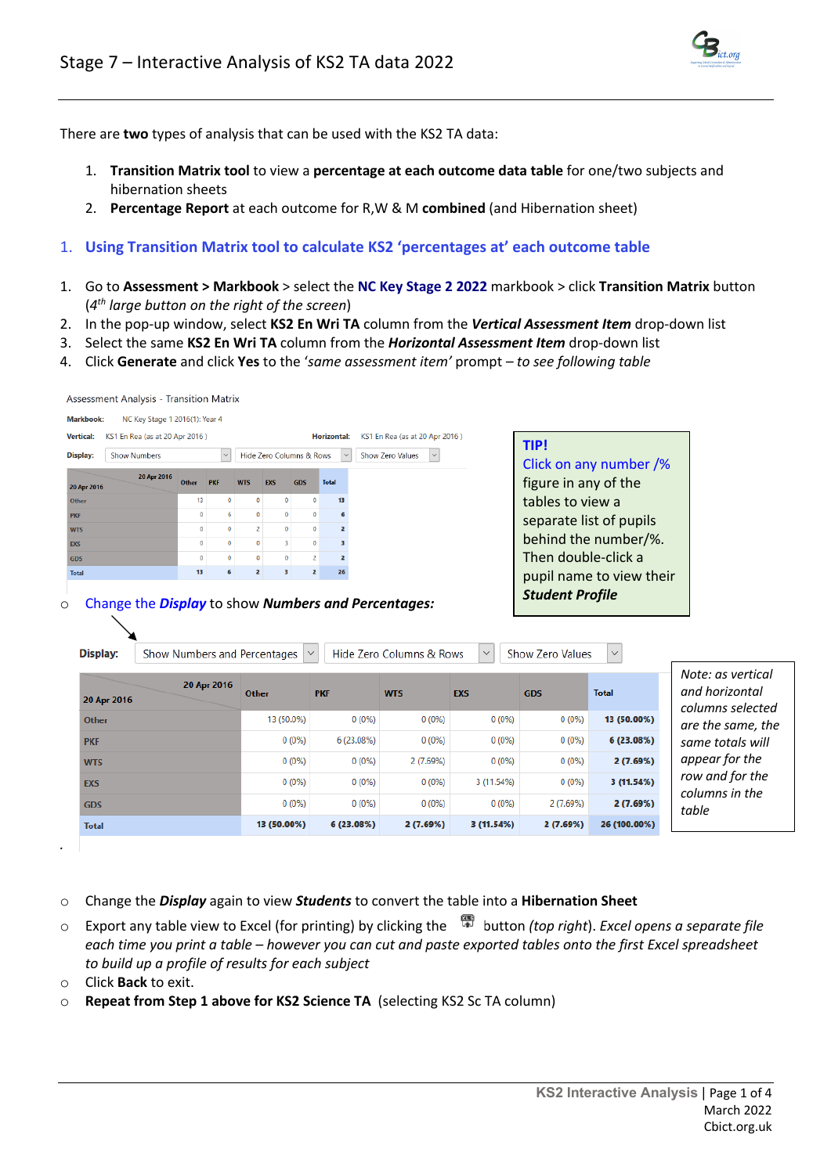

There are **two** types of analysis that can be used with the KS2 TA data:

- 1. **Transition Matrix tool** to view a **percentage at each outcome data table** for one/two subjects and hibernation sheets
- 2. **Percentage Report** at each outcome for R,W & M **combined** (and Hibernation sheet)

## 1. **Using Transition Matrix tool to calculate KS2 'percentages at' each outcome table**

- 1. Go to **Assessment > Markbook** > select the **NC Key Stage 2 2022** markbook > click **Transition Matrix** button (*4th large button on the right of the screen*)
- 2. In the pop-up window, select **KS2 En Wri TA** column from the *Vertical Assessment Item* drop-down list
- 3. Select the same **KS2 En Wri TA** column from the *Horizontal Assessment Item* drop-down list
- 4. Click **Generate** and click **Yes** to the '*same assessment item'* prompt *– to see following table*

| <b>Markbook:</b> | NC Key Stage 1 2016(1): Year 4 |              |            |              |              |                          |                    |
|------------------|--------------------------------|--------------|------------|--------------|--------------|--------------------------|--------------------|
| <b>Vertical:</b> | KS1 En Rea (as at 20 Apr 2016) |              |            |              |              |                          | <b>Horizontal:</b> |
| Display:         | <b>Show Numbers</b>            |              | $\vee$     |              |              | Hide Zero Columns & Rows |                    |
|                  | 20 Apr 2016                    |              |            |              |              |                          |                    |
| 20 Apr 2016      |                                | Other        | <b>PKF</b> | <b>WTS</b>   | <b>EXS</b>   | <b>GDS</b>               | <b>Total</b>       |
| Other            |                                | 13           |            | $\mathbf{0}$ | $\Omega$     | $\Omega$                 | 13                 |
| <b>PKF</b>       |                                | $\mathbf{0}$ |            | $\Omega$     | $\mathbf{0}$ | $\Omega$                 |                    |
| <b>WTS</b>       |                                | $\Omega$     |            |              | $\Omega$     | $\Omega$                 |                    |
| <b>EXS</b>       |                                | $\Omega$     |            |              |              | $\Omega$                 |                    |
| <b>GDS</b>       |                                | $\Omega$     |            | $\Omega$     | $\Omega$     |                          |                    |
| <b>Total</b>     |                                | 13           |            |              | з            |                          | 26                 |
|                  |                                |              |            |              |              |                          |                    |

### o Change the *Display* to show *Numbers and Percentages:*

Assessment Analysis - Transition Matrix

| Display:     | Show Numbers and Percentages |              | $\checkmark$ | Hide Zero Columns & Rows | $\checkmark$ | Show Zero Values | $\checkmark$ |                                                         |
|--------------|------------------------------|--------------|--------------|--------------------------|--------------|------------------|--------------|---------------------------------------------------------|
| 20 Apr 2016  | 20 Apr 2016                  | <b>Other</b> | <b>PKF</b>   | <b>WTS</b>               | <b>EXS</b>   | <b>GDS</b>       | <b>Total</b> | Note: as vertical<br>and horizontal<br>columns selected |
| <b>Other</b> |                              | 13 (50.0%)   | $0(0\%)$     | $0(0\%)$                 | $0(0\%)$     | $0(0\%)$         | 13 (50.00%)  | are the same, the                                       |
| <b>PKF</b>   |                              | $0(0\%)$     | 6 (23.08%)   | $0(0\%)$                 | $0(0\%)$     | $0(0\%)$         | 6(23.08%)    | same totals will                                        |
| <b>WTS</b>   |                              | $0(0\%)$     | $0(0\%)$     | 2(7.69%)                 | $0(0\%)$     | $0(0\%)$         | 2(7.69%)     | appear for the                                          |
| <b>EXS</b>   |                              | $0(0\%)$     | $0(0\%)$     | $0(0\%)$                 | 3 (11.54%)   | $0(0\%)$         | 3(11.54%)    | row and for the                                         |
| <b>GDS</b>   |                              | $0(0\%)$     | $0(0\%)$     | $0(0\%)$                 | $0(0\%)$     | 2 (7.69%)        | 2(7.69%)     | columns in the<br>table                                 |
| <b>Total</b> |                              | 13 (50.00%)  | 6(23.08%)    | 2(7.69%)                 | 3(11.54%)    | 2(7.69%)         | 26 (100.00%) |                                                         |

*.*

- o Change the *Display* again to view *Students* to convert the table into a **Hibernation Sheet**
- o Export any table view to Excel (for printing) by clicking the button *(top right*). *Excel opens a separate file each time you print a table – however you can cut and paste exported tables onto the first Excel spreadsheet to build up a profile of results for each subject*
- o Click **Back** to exit.
- o **Repeat from Step 1 above for KS2 Science TA** (selecting KS2 Sc TA column)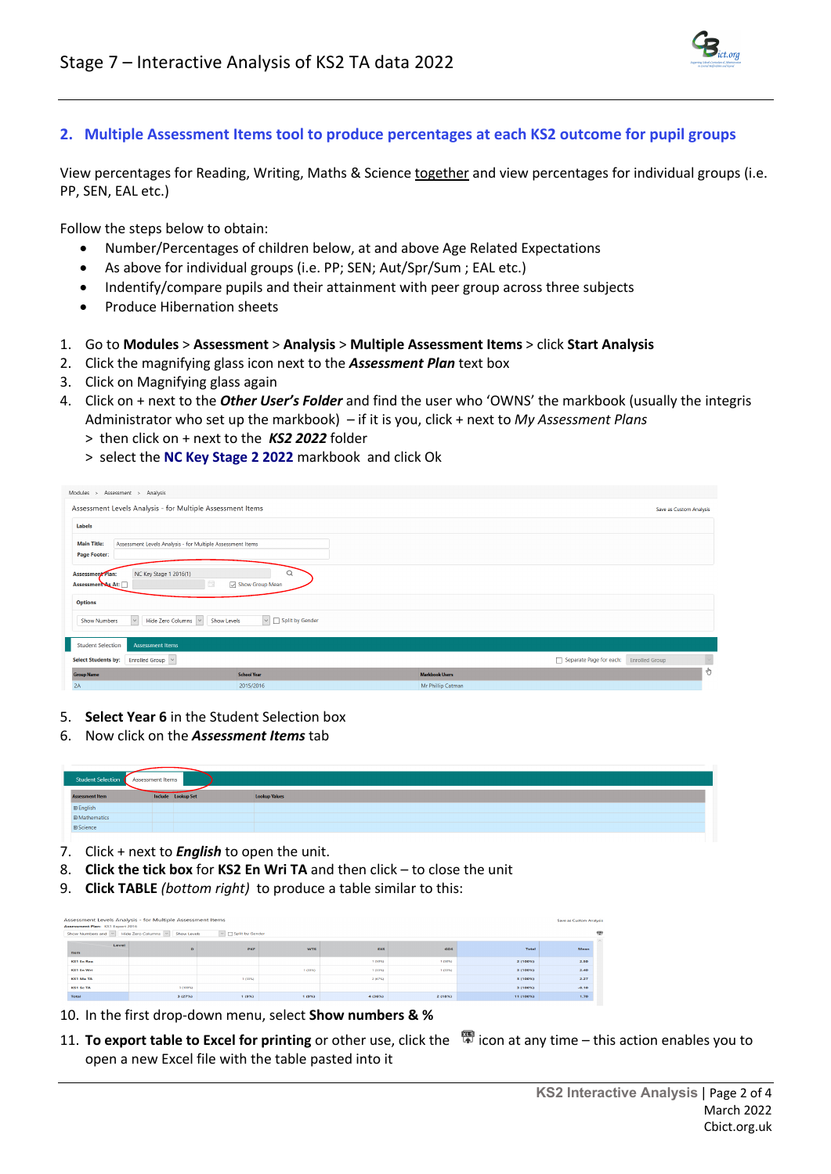

# **2. Multiple Assessment Items tool to produce percentages at each KS2 outcome for pupil groups**

View percentages for Reading, Writing, Maths & Science together and view percentages for individual groups (i.e. PP, SEN, EAL etc.)

Follow the steps below to obtain:

- Number/Percentages of children below, at and above Age Related Expectations
- As above for individual groups (i.e. PP; SEN; Aut/Spr/Sum ; EAL etc.)
- Indentify/compare pupils and their attainment with peer group across three subjects
- Produce Hibernation sheets
- 1. Go to **Modules** > **Assessment** > **Analysis** > **Multiple Assessment Items** > click **Start Analysis**
- 2. Click the magnifying glass icon next to the *Assessment Plan* text box
- 3. Click on Magnifying glass again
- 4. Click on + next to the *Other User's Folder* and find the user who 'OWNS' the markbook (usually the integris Administrator who set up the markbook) – if it is you, click + next to *My Assessment Plans* > then click on + next to the *KS2 2022* folder
	- > select the **NC Key Stage 2 2022** markbook and click Ok

| Modules ><br>Assessment > Analysis                                                                      |                               |                       |                                                  |                         |
|---------------------------------------------------------------------------------------------------------|-------------------------------|-----------------------|--------------------------------------------------|-------------------------|
| Assessment Levels Analysis - for Multiple Assessment Items                                              |                               |                       |                                                  | Save as Custom Analysis |
| Labels                                                                                                  |                               |                       |                                                  |                         |
| <b>Main Title:</b><br>Assessment Levels Analysis - for Multiple Assessment Items<br><b>Page Footer:</b> |                               |                       |                                                  |                         |
| NC Key Stage 1 2016(1)<br><b>Assessment Plan:</b><br>巼<br>Assessment As At:                             | Q<br>Show Group Mean          |                       |                                                  |                         |
| <b>Options</b>                                                                                          |                               |                       |                                                  |                         |
| $\backsim$<br>Hide Zero Columns V<br>Show Levels<br><b>Show Numbers</b>                                 | $\vee$ $\Box$ Split by Gender |                       |                                                  |                         |
| <b>Student Selection</b><br><b>Assessment Items</b>                                                     |                               |                       |                                                  |                         |
| Enrolled Group V<br><b>Select Students by:</b>                                                          |                               |                       | Separate Page for each:<br><b>Enrolled Group</b> | $\breve{~}$             |
| <b>Group Name</b>                                                                                       | <b>School Year</b>            | <b>Markbook Users</b> |                                                  | Ò                       |
| 2A                                                                                                      | 2015/2016                     | Mr Phillip Catman     |                                                  |                         |
|                                                                                                         |                               |                       |                                                  |                         |

- 5. **Select Year 6** in the Student Selection box
- 6. Now click on the *Assessment Items* tab

| Student Selection<br>Assessment Items |                    |                      |  |  |  |  |  |  |  |  |  |
|---------------------------------------|--------------------|----------------------|--|--|--|--|--|--|--|--|--|
| <b>Assessment Item</b>                | Include Lookup Set | <b>Lookup Values</b> |  |  |  |  |  |  |  |  |  |
| $\boxplus$ English                    |                    |                      |  |  |  |  |  |  |  |  |  |
| <b>⊞ Mathematics</b>                  |                    |                      |  |  |  |  |  |  |  |  |  |
| ⊕ Science                             |                    |                      |  |  |  |  |  |  |  |  |  |

- 7. Click + next to *English* to open the unit.
- 8. **Click the tick box** for **KS2 En Wri TA** and then click to close the unit
- 9. **Click TABLE** *(bottom right)* to produce a table similar to this:

| Assessment Plan: KS1 Export 2016 | Assessment Levels Analysis - for Multiple Assessment Items<br>Show Numbers and V Hide Zero Columns V Show Levels | $\vee$ Split by Gender |       |         |         |           | Save as Custom Analysis | 雷<br>$\sim$ |
|----------------------------------|------------------------------------------------------------------------------------------------------------------|------------------------|-------|---------|---------|-----------|-------------------------|-------------|
| Level<br><b>Item</b>             | $\mathbf{D}$                                                                                                     | <b>PKF</b>             | wrs   | EXS     | GDS     | Total     | Mean                    |             |
| KS1 En Rea                       |                                                                                                                  |                        |       | 1 (50%) | 1 (50%) | 2 (100%)  | 2.50                    |             |
| KS1 En Wri                       |                                                                                                                  |                        | 1.03% | 1.03250 | 1.03%   | 3 (100%)  | 2,40                    |             |
| <b>KS1 Ma TA</b>                 |                                                                                                                  | 1.03%                  |       | 2 (67%) |         | 3 (100%)  | 2.27                    |             |
| <b>KS1 Sc TA</b>                 | 3 (100%)                                                                                                         |                        |       |         |         | 3 (100%)  | .0.10                   |             |
| Total                            | 3(27%)                                                                                                           | 1(9%)                  | 1(9%) | 4 (36%) | 2 (18%) | 11 (100%) | 1.70                    |             |

- 10. In the first drop-down menu, select **Show numbers & %**
- 11. **To export table to Excel for printing** or other use, click the <sup>图</sup> icon at any time this action enables you to open a new Excel file with the table pasted into it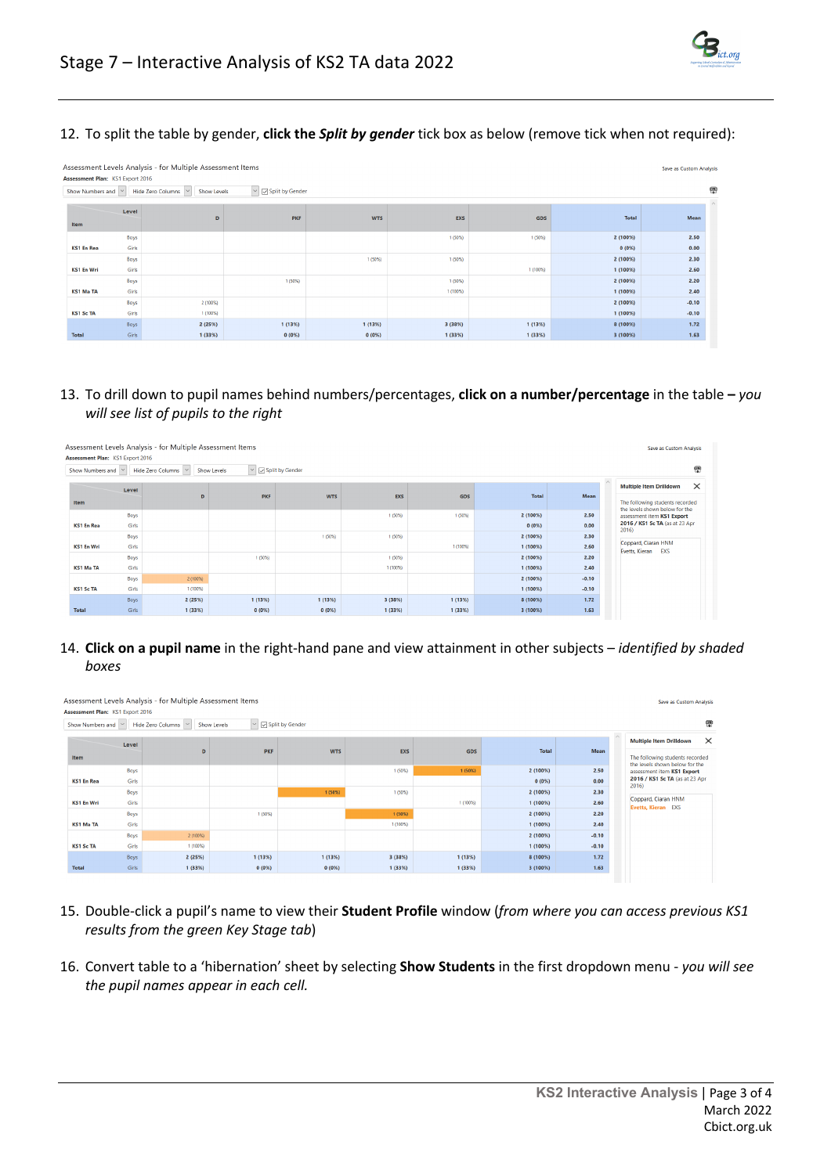

12. To split the table by gender, **click the** *Split by gender* tick box as below (remove tick when not required):

|                                  |       | Assessment Levels Analysis - for Multiple Assessment Items                              |                             |            |            |            |          | Save as Custom Analysis |
|----------------------------------|-------|-----------------------------------------------------------------------------------------|-----------------------------|------------|------------|------------|----------|-------------------------|
| Assessment Plan: KS1 Export 2016 |       | Show Numbers and $\vert \vee \vert$ Hide Zero Columns $\vert \vee \vert$<br>Show Levels | $\ \cdot\ $ Split by Gender |            |            |            |          | 需                       |
|                                  |       |                                                                                         |                             |            |            |            |          | $\land$                 |
|                                  | Level |                                                                                         |                             |            |            |            |          |                         |
| Item                             |       | D                                                                                       | <b>PKF</b>                  | <b>WTS</b> | <b>EXS</b> | <b>GDS</b> | Total    | Mean                    |
|                                  | Boys  |                                                                                         |                             |            | 1 (50%)    | 1 (50%)    | 2 (100%) | 2.50                    |
| <b>KS1 En Rea</b>                | Girls |                                                                                         |                             |            |            |            | 0(0%     | 0.00                    |
|                                  | Boys  |                                                                                         |                             | 1 (50%)    | 1 (50%)    |            | 2 (100%) | 2.30                    |
| KS1 En Wri                       | Girls |                                                                                         |                             |            |            | 1 (100%)   | 1 (100%) | 2.60                    |
|                                  | Boys  |                                                                                         | 1 (50%)                     |            | 1 (50%)    |            | 2 (100%) | 2.20                    |
| <b>KS1 Ma TA</b>                 | Girls |                                                                                         |                             |            | 1 (100%)   |            | 1(100%)  | 2.40                    |
|                                  | Boys  | 2 (100%)                                                                                |                             |            |            |            | 2 (100%) | $-0.10$                 |
| <b>KS1 Sc TA</b>                 | Girls | 1 (100%)                                                                                |                             |            |            |            | 1 (100%) | $-0.10$                 |
|                                  | Boys  | 2 (25%)                                                                                 | 1 (13%)                     | 1(13%)     | 3 (38%)    | 1(13%)     | 8 (100%) | 1.72                    |
| <b>Total</b>                     | Girls | 1(33%)                                                                                  | 0(0%                        | 0(0%       | 1 (33%)    | 1(33%)     | 3 (100%) | 1.63                    |

13. To drill down to pupil names behind numbers/percentages, **click on a number/percentage** in the table **–** *you will see list of pupils to the right*

|                                  |       | Assessment Levels Analysis - for Multiple Assessment Items |                                              |            |            |          |              |         | Save as Custom Analysis                                           |  |
|----------------------------------|-------|------------------------------------------------------------|----------------------------------------------|------------|------------|----------|--------------|---------|-------------------------------------------------------------------|--|
| Assessment Plan: KS1 Export 2016 |       |                                                            |                                              |            |            |          |              |         |                                                                   |  |
| Show Numbers and  v              |       | Hide Zero Columns                                          | $\vee$ $\Box$ Split by Gender<br>Show Levels |            |            |          |              |         | 雷                                                                 |  |
|                                  |       |                                                            |                                              |            |            |          |              |         | $\times$<br><b>Multiple Item Drilldown</b>                        |  |
|                                  | Level | D                                                          | <b>PKF</b>                                   | <b>WTS</b> | <b>EXS</b> | GDS      | <b>Total</b> | Mean    |                                                                   |  |
| Item                             |       |                                                            |                                              |            |            |          |              |         | The following students recorded<br>the levels shown below for the |  |
|                                  | Boys  |                                                            |                                              |            | 1 (50%)    | 1 (50%)  | 2 (100%)     | 2.50    | assessment item KS1 Export                                        |  |
| <b>KS1 En Rea</b>                | Girls |                                                            |                                              |            |            |          | $0(0\%)$     | 0.00    | 2016 / KS1 Sc TA (as at 23 Apr<br>2016                            |  |
|                                  | Boys  |                                                            |                                              | 1 (50%)    | 1 (50%)    |          | 2 (100%)     | 2.30    |                                                                   |  |
| <b>KS1 En Wri</b>                | Girls |                                                            |                                              |            |            | 1 (100%) | 1(100%)      | 2.60    | Coppard, Ciaran HNM<br>EXS<br>Evetts, Kieran                      |  |
|                                  | Boys  |                                                            | 1 (50%)                                      |            | 1 (50%)    |          | 2 (100%)     | 2.20    |                                                                   |  |
| <b>KS1 Ma TA</b>                 | Girls |                                                            |                                              |            | 1 (100%)   |          | 1 (100%)     | 2.40    |                                                                   |  |
|                                  | Boys  | $2(100\%)$                                                 |                                              |            |            |          | 2 (100%)     | $-0.10$ |                                                                   |  |
| <b>KS1 Sc TA</b>                 | Girls | 1 (100%)                                                   |                                              |            |            |          | 1(100%)      | $-0.10$ |                                                                   |  |
|                                  | Boys  | 2 (25%)                                                    | 1(13%)                                       | 1(13%)     | 3 (38%)    | 1(13%)   | 8 (100%)     | 1.72    |                                                                   |  |
| <b>Total</b>                     | Girls | 1 (33%)                                                    | 0(0%                                         | 0(0%       | 1 (33%)    | 1 (33%)  | 3(100%)      | 1.63    |                                                                   |  |

## 14. **Click on a pupil name** in the right-hand pane and view attainment in other subjects – *identified by shaded boxes*

|                                  |       | Assessment Levels Analysis - for Multiple Assessment Items |             |                               |          |          |              |             | Save as Custom Analysis                                           |
|----------------------------------|-------|------------------------------------------------------------|-------------|-------------------------------|----------|----------|--------------|-------------|-------------------------------------------------------------------|
| Assessment Plan: KS1 Export 2016 |       |                                                            |             |                               |          |          |              |             |                                                                   |
| Show Numbers and $\vee$          |       | Hide Zero Columns   v                                      | Show Levels | $\vee$ $\Box$ Split by Gender |          |          |              |             | 霛                                                                 |
|                                  | Level |                                                            |             |                               |          |          |              |             | $\times$<br><b>Multiple Item Drilldown</b>                        |
| Item                             |       | D                                                          | <b>PKF</b>  | <b>WTS</b>                    | EXS      | GDS      | <b>Total</b> | <b>Mean</b> | The following students recorded<br>the levels shown below for the |
|                                  | Boys  |                                                            |             |                               | 1 (50%)  | 1 (50%)  | 2 (100%)     | 2.50        | assessment item KS1 Export                                        |
| <b>KS1 En Rea</b>                | Girls |                                                            |             |                               |          |          | 0(0%         | 0.00        | 2016 / KS1 Sc TA (as at 23 Apr<br>2016                            |
|                                  | Boys  |                                                            |             | 1 (50%)                       | 1 (50%)  |          | 2 (100%)     | 2.30        |                                                                   |
| <b>KS1 En Wri</b>                | Girls |                                                            |             |                               |          | 1 (100%) | 1 (100%)     | 2.60        | Coppard, Ciaran HNM<br>Evetts, Kieran EXS                         |
|                                  | Boys  |                                                            | 1 (50%)     |                               | 1 (50%)  |          | 2(100%)      | 2.20        |                                                                   |
| <b>KS1 Ma TA</b>                 | Girls |                                                            |             |                               | 1 (100%) |          | 1 (100%)     | 2.40        |                                                                   |
|                                  | Boys  | 2 (100%)                                                   |             |                               |          |          | 2 (100%)     | $-0.10$     |                                                                   |
| <b>KS1 Sc TA</b>                 | Girls | 1 (100%)                                                   |             |                               |          |          | 1 (100%)     | $-0.10$     |                                                                   |
|                                  | Boys  | 2(25%)                                                     | 1(13%)      | 1(13%)                        | 3 (38%)  | 1(13%)   | 8 (100%)     | 1.72        |                                                                   |
| <b>Total</b>                     | Girls | 1(33%)                                                     | 0(0%        | 0(0%                          | 1(33%)   | 1(33%)   | 3(100%)      | 1.63        |                                                                   |

- 15. Double-click a pupil's name to view their **Student Profile** window (*from where you can access previous KS1 results from the green Key Stage tab*)
- 16. Convert table to a 'hibernation' sheet by selecting **Show Students** in the first dropdown menu *you will see the pupil names appear in each cell.*